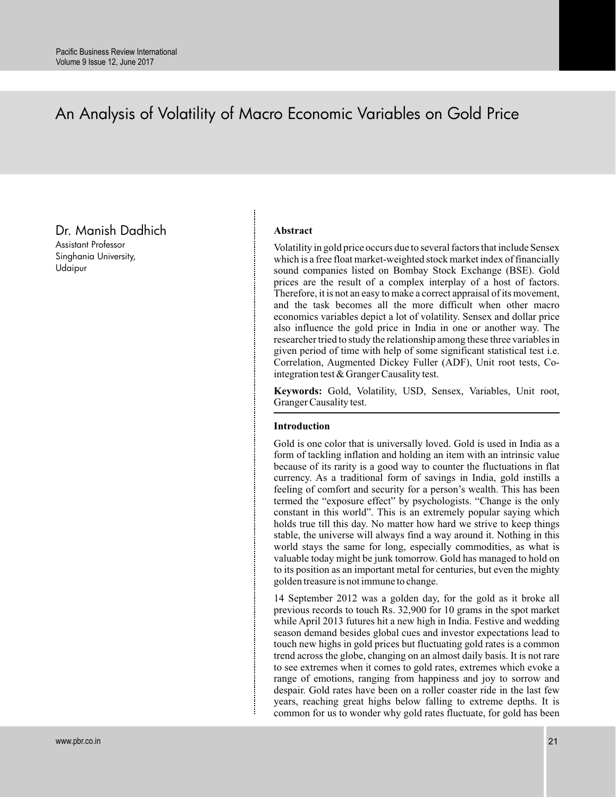# An Analysis of Volatility of Macro Economic Variables on Gold Price

Dr. Manish Dadhich

Assistant Professor Singhania University, Udaipur

# **Abstract**

Volatility in gold price occurs due to several factors that include Sensex which is a free float market-weighted stock market index of financially sound companies listed on Bombay Stock Exchange (BSE). Gold prices are the result of a complex interplay of a host of factors. Therefore, it is not an easy to make a correct appraisal of its movement, and the task becomes all the more difficult when other macro economics variables depict a lot of volatility. Sensex and dollar price also influence the gold price in India in one or another way. The researcher tried to study the relationship among these three variables in given period of time with help of some significant statistical test i.e. Correlation, Augmented Dickey Fuller (ADF), Unit root tests, Cointegration test & Granger Causality test.

**Keywords:** Gold, Volatility, USD, Sensex, Variables, Unit root, Granger Causality test.

# **Introduction**

Gold is one color that is universally loved. Gold is used in India as a form of tackling inflation and holding an item with an intrinsic value because of its rarity is a good way to counter the fluctuations in flat currency. As a traditional form of savings in India, gold instills a feeling of comfort and security for a person's wealth. This has been termed the "exposure effect" by psychologists. "Change is the only constant in this world". This is an extremely popular saying which holds true till this day. No matter how hard we strive to keep things stable, the universe will always find a way around it. Nothing in this world stays the same for long, especially commodities, as what is valuable today might be junk tomorrow. Gold has managed to hold on to its position as an important metal for centuries, but even the mighty golden treasure is not immune to change.

14 September 2012 was a golden day, for the gold as it broke all previous records to touch Rs. 32,900 for 10 grams in the spot market while April 2013 futures hit a new high in India. Festive and wedding season demand besides global cues and investor expectations lead to touch new highs in gold prices but fluctuating gold rates is a common trend across the globe, changing on an almost daily basis. It is not rare to see extremes when it comes to gold rates, extremes which evoke a range of emotions, ranging from happiness and joy to sorrow and despair. Gold rates have been on a roller coaster ride in the last few years, reaching great highs below falling to extreme depths. It is common for us to wonder why gold rates fluctuate, for gold has been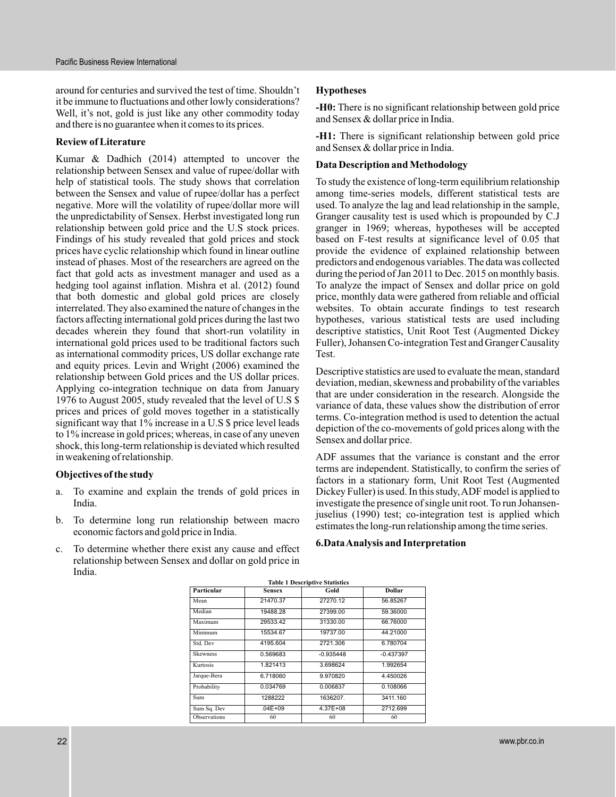around for centuries and survived the test of time. Shouldn't it be immune to fluctuations and other lowly considerations? Well, it's not, gold is just like any other commodity today and there is no guarantee when it comes to its prices.

#### **Review of Literature**

Kumar & Dadhich (2014) attempted to uncover the relationship between Sensex and value of rupee/dollar with help of statistical tools. The study shows that correlation between the Sensex and value of rupee/dollar has a perfect negative. More will the volatility of rupee/dollar more will the unpredictability of Sensex. Herbst investigated long run relationship between gold price and the U.S stock prices. Findings of his study revealed that gold prices and stock prices have cyclic relationship which found in linear outline instead of phases. Most of the researchers are agreed on the fact that gold acts as investment manager and used as a hedging tool against inflation. Mishra et al. (2012) found that both domestic and global gold prices are closely interrelated. They also examined the nature of changes in the factors affecting international gold prices during the last two decades wherein they found that short-run volatility in international gold prices used to be traditional factors such as international commodity prices, US dollar exchange rate and equity prices. Levin and Wright (2006) examined the relationship between Gold prices and the US dollar prices. Applying co-integration technique on data from January 1976 to August 2005, study revealed that the level of U.S \$ prices and prices of gold moves together in a statistically significant way that 1% increase in a U.S \$ price level leads to 1% increase in gold prices; whereas, in case of any uneven shock, this long-term relationship is deviated which resulted in weakening of relationship.

# **Objectives of the study**

- a. To examine and explain the trends of gold prices in India.
- b. To determine long run relationship between macro economic factors and gold price in India.
- c. To determine whether there exist any cause and effect relationship between Sensex and dollar on gold price in India.

### **Hypotheses**

-H0: There is no significant relationship between gold price and Sensex & dollar price in India.

**-H1:** There is significant relationship between gold price and Sensex & dollar price in India.

### **Data Description and Methodology**

To study the existence of long-term equilibrium relationship among time-series models, different statistical tests are used. To analyze the lag and lead relationship in the sample, Granger causality test is used which is propounded by C.J granger in 1969; whereas, hypotheses will be accepted based on F-test results at significance level of 0.05 that provide the evidence of explained relationship between predictors and endogenous variables. The data was collected during the period of Jan 2011 to Dec. 2015 on monthly basis. To analyze the impact of Sensex and dollar price on gold price, monthly data were gathered from reliable and official websites. To obtain accurate findings to test research hypotheses, various statistical tests are used including descriptive statistics, Unit Root Test (Augmented Dickey Fuller), Johansen Co-integration Test and Granger Causality Test.

Descriptive statistics are used to evaluate the mean, standard deviation, median, skewness and probability of the variables that are under consideration in the research. Alongside the variance of data, these values show the distribution of error terms. Co-integration method is used to detention the actual depiction of the co-movements of gold prices along with the Sensex and dollar price.

ADF assumes that the variance is constant and the error terms are independent. Statistically, to confirm the series of factors in a stationary form, Unit Root Test (Augmented Dickey Fuller) is used. In this study, ADF model is applied to investigate the presence of single unit root. To run Johansenjuselius (1990) test; co-integration test is applied which estimates the long-run relationship among the time series.

#### **6.DataAnalysis and Interpretation**

| <b>Table 1 Descriptive Statistics</b> |               |              |             |  |  |  |
|---------------------------------------|---------------|--------------|-------------|--|--|--|
| Particular                            | <b>Sensex</b> | Gold         | Dollar      |  |  |  |
| Mean                                  | 21470.37      | 27270.12     | 56.85267    |  |  |  |
| Median                                | 19488.28      | 27399.00     | 59.36000    |  |  |  |
| Maximum                               | 29533.42      | 31330.00     | 66.76000    |  |  |  |
| Minimum                               | 15534.67      | 19737.00     | 44.21000    |  |  |  |
| Std. Dev                              | 4195.604      | 2721.306     | 6.780704    |  |  |  |
| <b>Skewness</b>                       | 0.569683      | $-0.935448$  | $-0.437397$ |  |  |  |
| Kurtosis                              | 1.821413      | 3.698624     | 1.992654    |  |  |  |
| Jarque-Bera                           | 6.718060      | 9.970820     | 4.450026    |  |  |  |
| Probability                           | 0.034769      | 0.006837     | 0.108066    |  |  |  |
| Sum                                   | 1288222       | 1636207.     | 3411.160    |  |  |  |
| Sum Sq. Dev                           | $.04E + 09$   | $4.37E + 08$ | 2712.699    |  |  |  |
| Observations                          | 60            | 60           | 60          |  |  |  |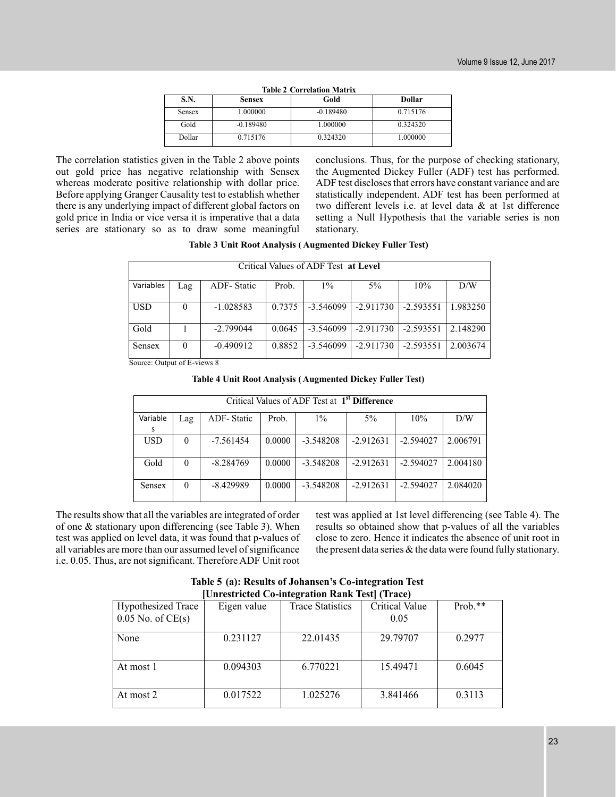| <b>Table 2 Correlation Matrix</b> |             |             |          |  |  |  |
|-----------------------------------|-------------|-------------|----------|--|--|--|
| S.N.                              | Sensex      | Gold        | Dollar   |  |  |  |
| <b>Sensex</b>                     | 1.000000    | $-0.189480$ | 0.715176 |  |  |  |
| Gold                              | $-0.189480$ | 1.000000    | 0.324320 |  |  |  |
| <b>Dollar</b>                     | 0.715176    | 0.324320    | 1.000000 |  |  |  |

The correlation statistics given in the Table 2 above points out gold price has negative relationship with Sensex whereas moderate positive relationship with dollar price. Before applying Granger Causality test to establish whether there is any underlying impact of different global factors on gold price in India or vice versa it is imperative that a data series are stationary so as to draw some meaningful

conclusions. Thus, for the purpose of checking stationary, the Augmented Dickey Fuller (ADF) test has performed. ADF test discloses that errors have constant variance and are statistically independent. ADF test has been performed at two different levels i.e. at level data & at 1st difference setting a Null Hypothesis that the variable series is non stationary.

#### **Table 3 Unit Root Analysis ( Augmented Dickey Fuller Test)**

| Critical Values of ADF Test at Level            |                                                                                            |                   |        |             |             |             |          |  |  |  |
|-------------------------------------------------|--------------------------------------------------------------------------------------------|-------------------|--------|-------------|-------------|-------------|----------|--|--|--|
| Variables                                       | Lag                                                                                        | <b>ADF-Static</b> | Prob.  | $1\%$       | $5\%$       | 10%         | D/W      |  |  |  |
| <b>USD</b>                                      | $\theta$                                                                                   | $-1.028583$       | 0.7375 | $-3.546099$ | $-2.911730$ | $-2.593551$ | 1.983250 |  |  |  |
| Gold                                            |                                                                                            | $-2.799044$       | 0.0645 | $-3.546099$ | $-2.911730$ | $-2.593551$ | 2.148290 |  |  |  |
| Sensex<br>$\alpha$ $\alpha$ , $\alpha$ $\alpha$ | 0.8852<br>$-2.593551$<br>2.003674<br>$-0.490912$<br>$-2.911730$<br>$-3.546099$<br>$\theta$ |                   |        |             |             |             |          |  |  |  |

Source: Output of E-views 8

| <b>Table 4 Unit Root Analysis (Augmented Dickey Fuller Test)</b> |  |  |  |
|------------------------------------------------------------------|--|--|--|
|------------------------------------------------------------------|--|--|--|

| Critical Values of ADF Test at 1 <sup>st</sup> Difference |          |             |        |             |             |             |          |
|-----------------------------------------------------------|----------|-------------|--------|-------------|-------------|-------------|----------|
| Variable                                                  | Lag      | ADF-Static  | Prob.  | $1\%$       | $5\%$       | 10%         | D/W      |
| s                                                         |          |             |        |             |             |             |          |
| <b>USD</b>                                                | $\theta$ | -7.561454   | 0.0000 | $-3.548208$ | $-2.912631$ | $-2.594027$ | 2.006791 |
|                                                           |          |             |        |             |             |             |          |
| Gold                                                      | $\Omega$ | $-8.284769$ | 0.0000 | $-3.548208$ | $-2.912631$ | $-2.594027$ | 2.004180 |
|                                                           |          |             |        |             |             |             |          |
| Sensex                                                    | $\theta$ | $-8.429989$ | 0.0000 | $-3.548208$ | $-2.912631$ | $-2.594027$ | 2.084020 |
|                                                           |          |             |        |             |             |             |          |

The results show that all the variables are integrated of order of one & stationary upon differencing (see Table 3). When test was applied on level data, it was found that p-values of all variables are more than our assumed level of significance i.e. 0.05. Thus, are not significant. Therefore ADF Unit root

test was applied at 1st level differencing (see Table 4). The results so obtained show that p-values of all the variables close to zero. Hence it indicates the absence of unit root in the present data series & the data were found fully stationary.

**Table 5 (a): Results of Johansen's Co-integration Test [Unrestricted Co-integration Rank Test] (Trace)**

| Um estricture Co-mitteration realik Test     Hace) |             |                         |                       |           |  |  |  |
|----------------------------------------------------|-------------|-------------------------|-----------------------|-----------|--|--|--|
| <b>Hypothesized Trace</b>                          | Eigen value | <b>Trace Statistics</b> | <b>Critical Value</b> | $Prob.**$ |  |  |  |
| $0.05$ No. of CE(s)                                |             |                         | 0.05                  |           |  |  |  |
| None                                               | 0.231127    | 22.01435                | 29.79707              | 0.2977    |  |  |  |
|                                                    |             |                         |                       |           |  |  |  |
| At most 1                                          | 0.094303    | 6.770221                | 15.49471              | 0.6045    |  |  |  |
|                                                    |             |                         |                       |           |  |  |  |
| At most 2                                          | 0.017522    | 1.025276                | 3.841466              | 0.3113    |  |  |  |
|                                                    |             |                         |                       |           |  |  |  |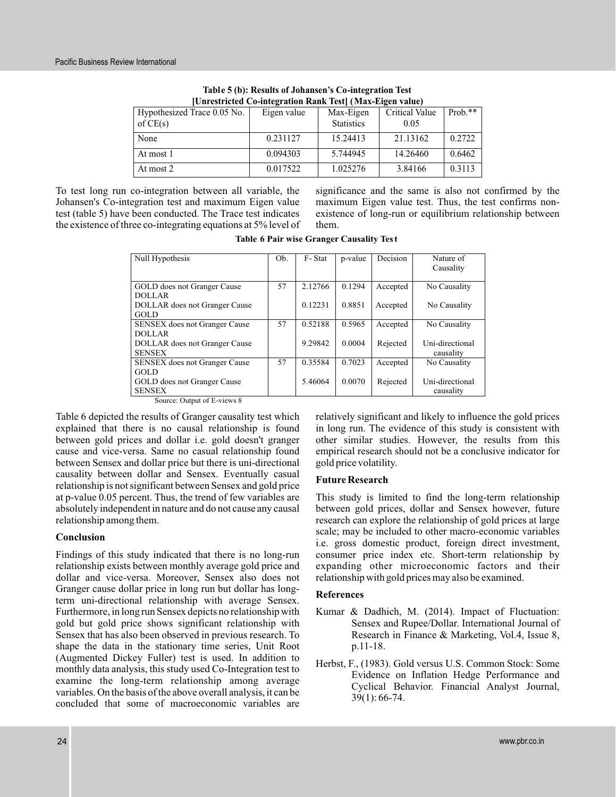| TUIITESUTETEU CO-IIITE2TATIOII KAIIK TESTI (TMAX-EI2EII VAIUE) |             |                   |                |         |  |  |  |
|----------------------------------------------------------------|-------------|-------------------|----------------|---------|--|--|--|
| Hypothesized Trace 0.05 No.                                    | Eigen value | Max-Eigen         | Critical Value | Prob.** |  |  |  |
| of $CE(s)$                                                     |             | <b>Statistics</b> | 0.05           |         |  |  |  |
| None                                                           | 0.231127    | 15.24413          | 21.13162       | 0.2722  |  |  |  |
| At most 1                                                      | 0.094303    | 5.744945          | 14.26460       | 0.6462  |  |  |  |
| At most 2                                                      | 0.017522    | 1.025276          | 3.84166        | 0.3113  |  |  |  |

**Table 5 (b): Results of Johansen's Co-integration Test [Unrestricted Co-integration Rank Test] (Max-Eigen value)**

To test long run co-integration between all variable, the Johansen's Co-integration test and maximum Eigen value test (table 5) have been conducted. The Trace test indicates the existence of three co-integrating equations at 5% level of significance and the same is also not confirmed by the maximum Eigen value test. Thus, the test confirms nonexistence of long-run or equilibrium relationship between them.

**Table 6 Pair wise Granger Causality Tes t**

| Null Hypothesis                                                             | Ob. | F-Stat  | p-value | Decision | Nature of<br>Causality |
|-----------------------------------------------------------------------------|-----|---------|---------|----------|------------------------|
| GOLD does not Granger Cause                                                 | 57  | 2.12766 | 0.1294  | Accepted | No Causality           |
| <b>DOLLAR</b>                                                               |     |         |         |          |                        |
| DOLLAR does not Granger Cause                                               |     | 0.12231 | 0.8851  | Accepted | No Causality           |
| <b>GOLD</b>                                                                 |     |         |         |          |                        |
| <b>SENSEX</b> does not Granger Cause                                        | 57  | 0.52188 | 0.5965  | Accepted | No Causality           |
| <b>DOLLAR</b>                                                               |     |         |         |          |                        |
| DOLLAR does not Granger Cause                                               |     | 9.29842 | 0.0004  | Rejected | Uni-directional        |
| <b>SENSEX</b>                                                               |     |         |         |          | causality              |
| <b>SENSEX</b> does not Granger Cause                                        | 57  | 0.35584 | 0.7023  | Accepted | No Causality           |
| GOLD                                                                        |     |         |         |          |                        |
| GOLD does not Granger Cause                                                 |     | 5.46064 | 0.0070  | Rejected | Uni-directional        |
| <b>SENSEX</b>                                                               |     |         |         |          | causality              |
| $\sim$ $\sim$ $\sim$ $\sim$<br>$\sim$ $\sim$ $\sim$ $\sim$ $\sim$<br>$\sim$ |     |         |         |          |                        |

Source: Output of E-views 8

Table 6 depicted the results of Granger causality test which explained that there is no causal relationship is found between gold prices and dollar i.e. gold doesn't granger cause and vice-versa. Same no casual relationship found between Sensex and dollar price but there is uni-directional causality between dollar and Sensex. Eventually casual relationship is not significant between Sensex and gold price at p-value 0.05 percent. Thus, the trend of few variables are absolutely independent in nature and do not cause any causal relationship among them.

# **Conclusion**

Findings of this study indicated that there is no long-run relationship exists between monthly average gold price and dollar and vice-versa. Moreover, Sensex also does not Granger cause dollar price in long run but dollar has longterm uni-directional relationship with average Sensex. Furthermore, in long run Sensex depicts no relationship with gold but gold price shows significant relationship with Sensex that has also been observed in previous research. To shape the data in the stationary time series, Unit Root (Augmented Dickey Fuller) test is used. In addition to monthly data analysis, this study used Co-Integration test to examine the long-term relationship among average variables. On the basis of the above overall analysis, it can be concluded that some of macroeconomic variables are

relatively significant and likely to influence the gold prices in long run. The evidence of this study is consistent with other similar studies. However, the results from this empirical research should not be a conclusive indicator for gold price volatility.

# **Future Research**

This study is limited to find the long-term relationship between gold prices, dollar and Sensex however, future research can explore the relationship of gold prices at large scale; may be included to other macro-economic variables i.e. gross domestic product, foreign direct investment, consumer price index etc. Short-term relationship by expanding other microeconomic factors and their relationship with gold prices may also be examined.

# **References**

- Kumar & Dadhich, M. (2014). Impact of Fluctuation: Sensex and Rupee/Dollar. International Journal of Research in Finance & Marketing, Vol.4, Issue 8, p.11-18.
- Herbst, F., (1983). Gold versus U.S. Common Stock: Some Evidence on Inflation Hedge Performance and Cyclical Behavior. Financial Analyst Journal, 39(1): 66-74.